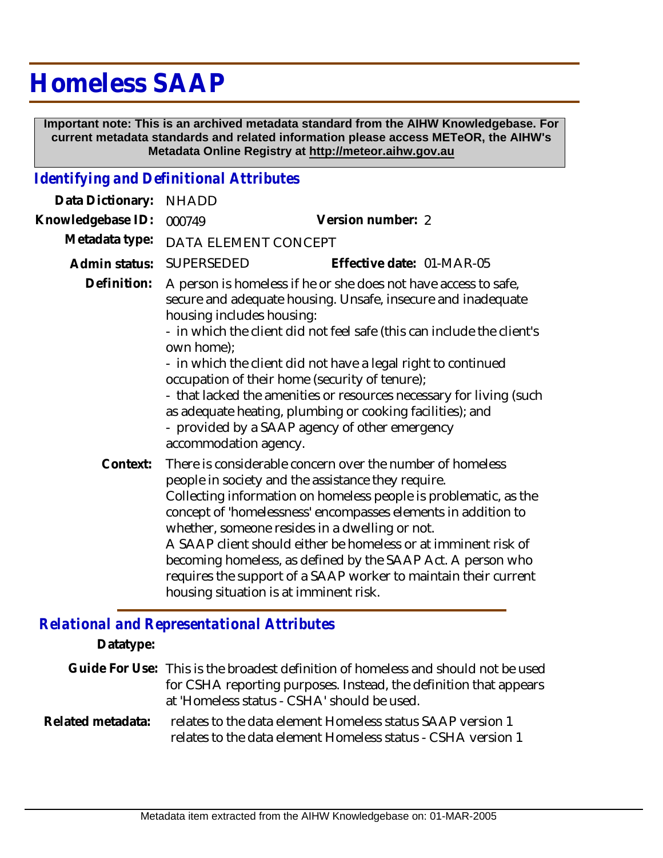## **Homeless SAAP**

 **Important note: This is an archived metadata standard from the AIHW Knowledgebase. For current metadata standards and related information please access METeOR, the AIHW's Metadata Online Registry at http://meteor.aihw.gov.au**

## *Identifying and Definitional Attributes*

| Data Dictionary:  | <b>NHADD</b>                                                                                                                                                                                                                                                                                                                                                                                                                                                                                                                                                                           |                                                                                                                                                                                                                                                                                                                                                                                                                                                                                                                                                      |  |
|-------------------|----------------------------------------------------------------------------------------------------------------------------------------------------------------------------------------------------------------------------------------------------------------------------------------------------------------------------------------------------------------------------------------------------------------------------------------------------------------------------------------------------------------------------------------------------------------------------------------|------------------------------------------------------------------------------------------------------------------------------------------------------------------------------------------------------------------------------------------------------------------------------------------------------------------------------------------------------------------------------------------------------------------------------------------------------------------------------------------------------------------------------------------------------|--|
| Knowledgebase ID: | 000749                                                                                                                                                                                                                                                                                                                                                                                                                                                                                                                                                                                 | Version number: 2                                                                                                                                                                                                                                                                                                                                                                                                                                                                                                                                    |  |
| Metadata type:    | DATA ELEMENT CONCEPT                                                                                                                                                                                                                                                                                                                                                                                                                                                                                                                                                                   |                                                                                                                                                                                                                                                                                                                                                                                                                                                                                                                                                      |  |
| Admin status:     | SUPERSEDED                                                                                                                                                                                                                                                                                                                                                                                                                                                                                                                                                                             | Effective date: 01-MAR-05                                                                                                                                                                                                                                                                                                                                                                                                                                                                                                                            |  |
| Definition:       | A person is homeless if he or she does not have access to safe,<br>secure and adequate housing. Unsafe, insecure and inadequate<br>housing includes housing:<br>- in which the client did not feel safe (this can include the client's<br>own home);<br>- in which the client did not have a legal right to continued<br>occupation of their home (security of tenure);<br>- that lacked the amenities or resources necessary for living (such<br>as adequate heating, plumbing or cooking facilities); and<br>- provided by a SAAP agency of other emergency<br>accommodation agency. |                                                                                                                                                                                                                                                                                                                                                                                                                                                                                                                                                      |  |
| Context:          |                                                                                                                                                                                                                                                                                                                                                                                                                                                                                                                                                                                        | There is considerable concern over the number of homeless<br>people in society and the assistance they require.<br>Collecting information on homeless people is problematic, as the<br>concept of 'homelessness' encompasses elements in addition to<br>whether, someone resides in a dwelling or not.<br>A SAAP client should either be homeless or at imminent risk of<br>becoming homeless, as defined by the SAAP Act. A person who<br>requires the support of a SAAP worker to maintain their current<br>housing situation is at imminent risk. |  |

## *Relational and Representational Attributes*

**Datatype:**

|  | Guide For Use: This is the broadest definition of homeless and should not be used |
|--|-----------------------------------------------------------------------------------|
|  | for CSHA reporting purposes. Instead, the definition that appears                 |
|  | at 'Homeless status - CSHA' should be used.                                       |
|  |                                                                                   |

relates to the data element Homeless status SAAP version 1 relates to the data element Homeless status - CSHA version 1 **Related metadata:**